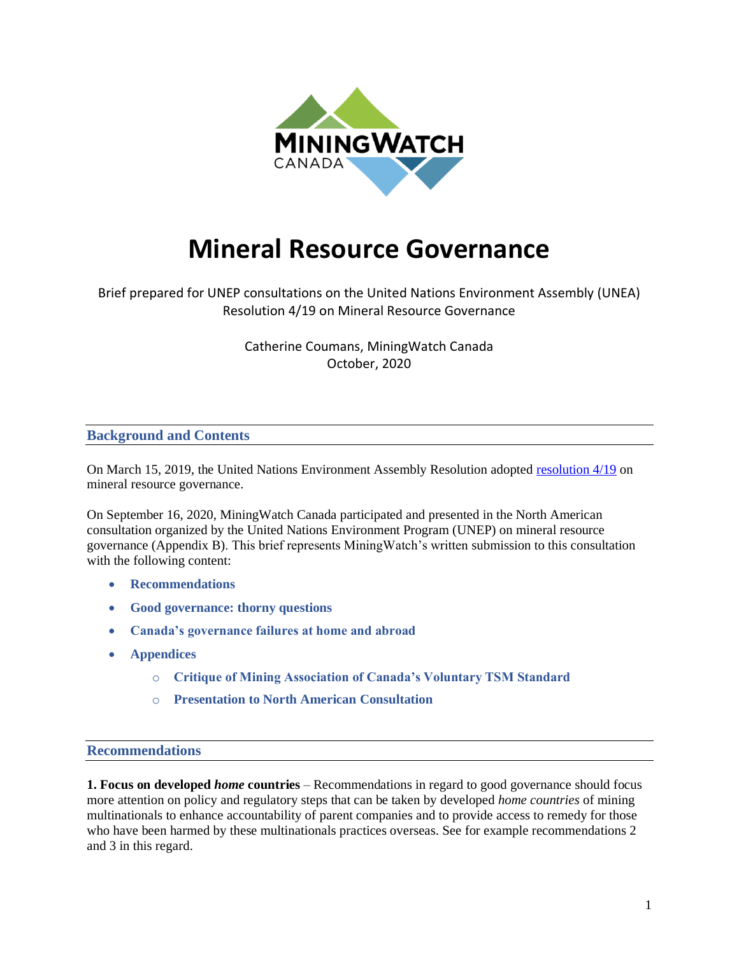

# **Mineral Resource Governance**

Brief prepared for UNEP consultations on the United Nations Environment Assembly (UNEA) Resolution 4/19 on Mineral Resource Governance

> Catherine Coumans, MiningWatch Canada October, 2020

#### **Background and Contents**

On March 15, 2019, the United Nations Environment Assembly Resolution adopted [resolution 4/19](http://wedocs.unep.org/bitstream/handle/20.500.11822/28501/English.pdf?sequence=3&isAllowed=y) on mineral resource governance.

On September 16, 2020, MiningWatch Canada participated and presented in the North American consultation organized by the United Nations Environment Program (UNEP) on mineral resource governance (Appendix B). This brief represents MiningWatch's written submission to this consultation with the following content:

- **Recommendations**
- **Good governance: thorny questions**
- **Canada's governance failures at home and abroad**
- **Appendices**
	- o **Critique of Mining Association of Canada's Voluntary TSM Standard**
	- o **Presentation to North American Consultation**

#### **Recommendations**

**1. Focus on developed** *home* **countries** – Recommendations in regard to good governance should focus more attention on policy and regulatory steps that can be taken by developed *home countries* of mining multinationals to enhance accountability of parent companies and to provide access to remedy for those who have been harmed by these multinationals practices overseas. See for example recommendations 2 and 3 in this regard.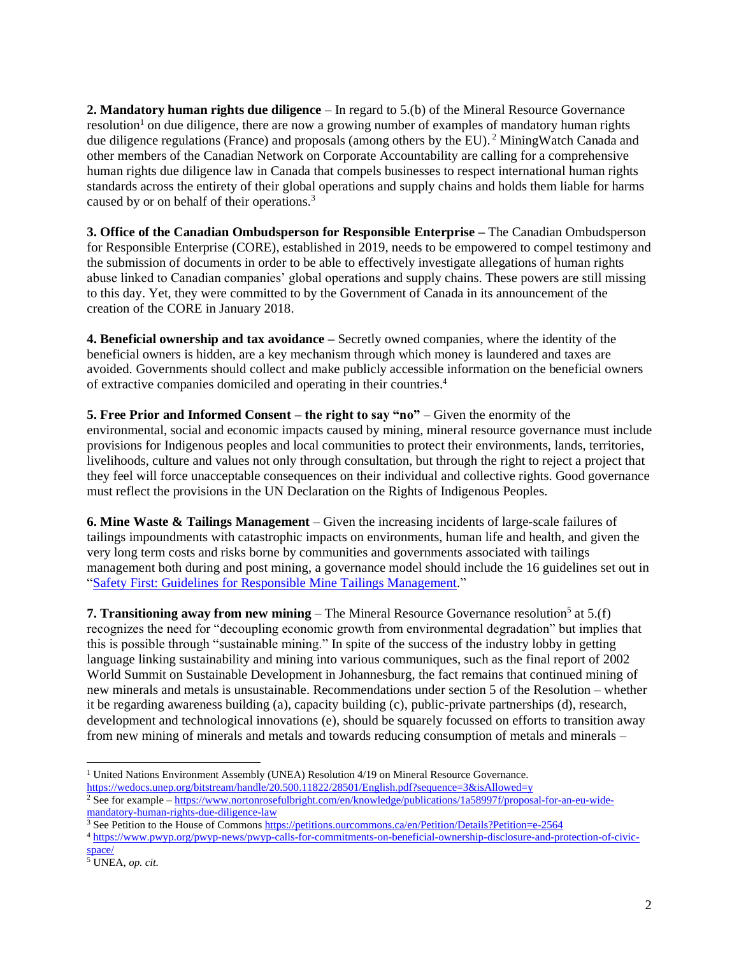**2. Mandatory human rights due diligence** – In regard to 5.(b) of the Mineral Resource Governance resolution<sup>1</sup> on due diligence, there are now a growing number of examples of mandatory human rights due diligence regulations (France) and proposals (among others by the EU).<sup>2</sup> MiningWatch Canada and other members of the Canadian Network on Corporate Accountability are calling for a comprehensive human rights due diligence law in Canada that compels businesses to respect international human rights standards across the entirety of their global operations and supply chains and holds them liable for harms caused by or on behalf of their operations.<sup>3</sup>

**3. Office of the Canadian Ombudsperson for Responsible Enterprise –** The Canadian Ombudsperson for Responsible Enterprise (CORE), established in 2019, needs to be empowered to compel testimony and the submission of documents in order to be able to effectively investigate allegations of human rights abuse linked to Canadian companies' global operations and supply chains. These powers are still missing to this day. Yet, they were committed to by the Government of Canada in its announcement of the creation of the CORE in January 2018.

**4. Beneficial ownership and tax avoidance –** Secretly owned companies, where the identity of the beneficial owners is hidden, are a key mechanism through which money is laundered and taxes are avoided. Governments should collect and make publicly accessible information on the beneficial owners of extractive companies domiciled and operating in their countries.<sup>4</sup>

**5. Free Prior and Informed Consent – the right to say "no"** – Given the enormity of the environmental, social and economic impacts caused by mining, mineral resource governance must include provisions for Indigenous peoples and local communities to protect their environments, lands, territories, livelihoods, culture and values not only through consultation, but through the right to reject a project that they feel will force unacceptable consequences on their individual and collective rights. Good governance must reflect the provisions in the UN Declaration on the Rights of Indigenous Peoples.

**6. Mine Waste & Tailings Management** – Given the increasing incidents of large-scale failures of tailings impoundments with catastrophic impacts on environments, human life and health, and given the very long term costs and risks borne by communities and governments associated with tailings management both during and post mining, a governance model should include the 16 guidelines set out in ["Safety First: Guidelines for Responsible Mine Tailings Management.](http://www.earthworks.org/safety-first)"

**7. Transitioning away from new mining** – The Mineral Resource Governance resolution<sup>5</sup> at 5.(f) recognizes the need for "decoupling economic growth from environmental degradation" but implies that this is possible through "sustainable mining." In spite of the success of the industry lobby in getting language linking sustainability and mining into various communiques, such as the final report of 2002 World Summit on Sustainable Development in Johannesburg, the fact remains that continued mining of new minerals and metals is unsustainable. Recommendations under section 5 of the Resolution – whether it be regarding awareness building (a), capacity building (c), public-private partnerships (d), research, development and technological innovations (e), should be squarely focussed on efforts to transition away from new mining of minerals and metals and towards reducing consumption of metals and minerals –

<sup>&</sup>lt;sup>1</sup> United Nations Environment Assembly (UNEA) Resolution 4/19 on Mineral Resource Governance. <https://wedocs.unep.org/bitstream/handle/20.500.11822/28501/English.pdf?sequence=3&isAllowed=y>

<sup>2</sup> See for example – [https://www.nortonrosefulbright.com/en/knowledge/publications/1a58997f/proposal-for-an-eu-wide](https://www.nortonrosefulbright.com/en/knowledge/publications/1a58997f/proposal-for-an-eu-wide-mandatory-human-rights-due-diligence-law)[mandatory-human-rights-due-diligence-law](https://www.nortonrosefulbright.com/en/knowledge/publications/1a58997f/proposal-for-an-eu-wide-mandatory-human-rights-due-diligence-law)

<sup>3</sup> See Petition to the House of Commons <https://petitions.ourcommons.ca/en/Petition/Details?Petition=e-2564>

<sup>4</sup> [https://www.pwyp.org/pwyp-news/pwyp-calls-for-commitments-on-beneficial-ownership-disclosure-and-protection-of-civic](https://www.pwyp.org/pwyp-news/pwyp-calls-for-commitments-on-beneficial-ownership-disclosure-and-protection-of-civic-space/)[space/](https://www.pwyp.org/pwyp-news/pwyp-calls-for-commitments-on-beneficial-ownership-disclosure-and-protection-of-civic-space/)

<sup>5</sup> UNEA, *op. cit.*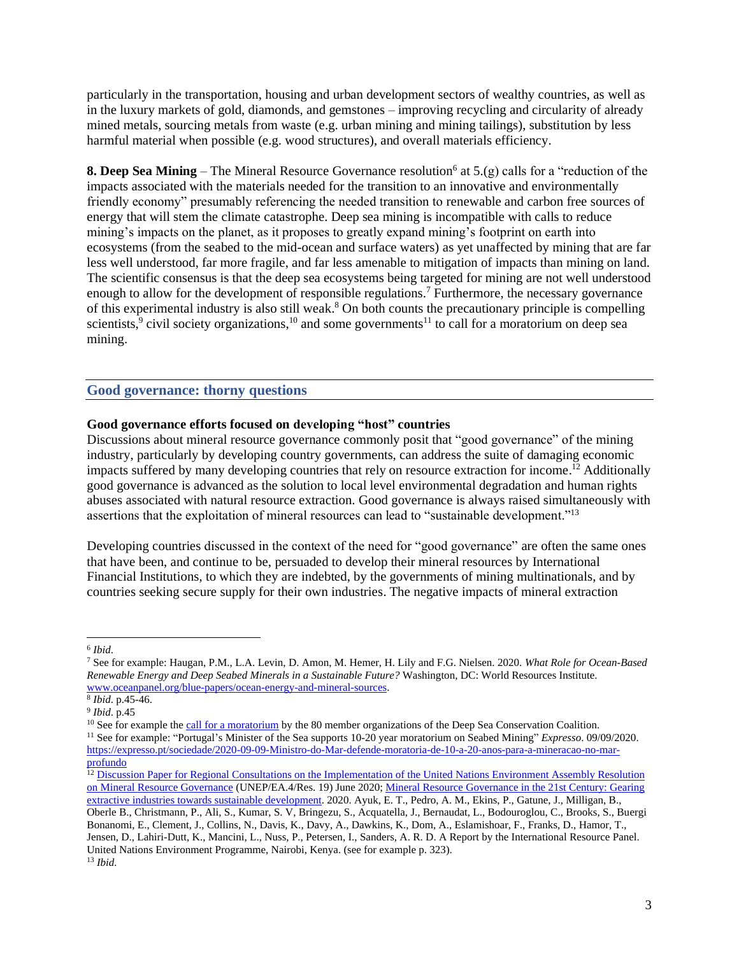particularly in the transportation, housing and urban development sectors of wealthy countries, as well as in the luxury markets of gold, diamonds, and gemstones – improving recycling and circularity of already mined metals, sourcing metals from waste (e.g. urban mining and mining tailings), substitution by less harmful material when possible (e.g. wood structures), and overall materials efficiency.

**8. Deep Sea Mining** – The Mineral Resource Governance resolution<sup>6</sup> at  $5(g)$  calls for a "reduction of the impacts associated with the materials needed for the transition to an innovative and environmentally friendly economy" presumably referencing the needed transition to renewable and carbon free sources of energy that will stem the climate catastrophe. Deep sea mining is incompatible with calls to reduce mining's impacts on the planet, as it proposes to greatly expand mining's footprint on earth into ecosystems (from the seabed to the mid-ocean and surface waters) as yet unaffected by mining that are far less well understood, far more fragile, and far less amenable to mitigation of impacts than mining on land. The scientific consensus is that the deep sea ecosystems being targeted for mining are not well understood enough to allow for the development of responsible regulations.<sup>7</sup> Furthermore, the necessary governance of this experimental industry is also still weak.<sup>8</sup> On both counts the precautionary principle is compelling scientists,<sup>9</sup> civil society organizations,<sup>10</sup> and some governments<sup>11</sup> to call for a moratorium on deep sea mining.

#### **Good governance: thorny questions**

#### **Good governance efforts focused on developing "host" countries**

Discussions about mineral resource governance commonly posit that "good governance" of the mining industry, particularly by developing country governments, can address the suite of damaging economic impacts suffered by many developing countries that rely on resource extraction for income. <sup>12</sup> Additionally good governance is advanced as the solution to local level environmental degradation and human rights abuses associated with natural resource extraction. Good governance is always raised simultaneously with assertions that the exploitation of mineral resources can lead to "sustainable development."<sup>13</sup>

Developing countries discussed in the context of the need for "good governance" are often the same ones that have been, and continue to be, persuaded to develop their mineral resources by International Financial Institutions, to which they are indebted, by the governments of mining multinationals, and by countries seeking secure supply for their own industries. The negative impacts of mineral extraction

<sup>6</sup> *Ibid*.

<sup>7</sup> See for example: Haugan, P.M., L.A. Levin, D. Amon, M. Hemer, H. Lily and F.G. Nielsen. 2020. *What Role for Ocean-Based Renewable Energy and Deep Seabed Minerals in a Sustainable Future?* Washington, DC: World Resources Institute. [www.oceanpanel.org/blue-papers/ocean-energy-and-mineral-sources.](http://www.oceanpanel.org/blue-papers/ocean-energy-and-mineral-sources)

<sup>8</sup> *Ibid*. p.45-46.

<sup>9</sup> *Ibid*. p.45

<sup>&</sup>lt;sup>10</sup> See for example th[e call for a moratorium](http://www.savethehighseas.org/wp-content/uploads/2019/08/DSCC-Position-Statement-on-Deep-Seabed-Mining_July2019.pdf) by the 80 member organizations of the Deep Sea Conservation Coalition. <sup>11</sup> See for example: "Portugal's Minister of the Sea supports 10-20 year moratorium on Seabed Mining" *Expresso*. 09/09/2020. [https://expresso.pt/sociedade/2020-09-09-Ministro-do-Mar-defende-moratoria-de-10-a-20-anos-para-a-mineracao-no-mar](https://expresso.pt/sociedade/2020-09-09-Ministro-do-Mar-defende-moratoria-de-10-a-20-anos-para-a-mineracao-no-mar-profundo)[profundo](https://expresso.pt/sociedade/2020-09-09-Ministro-do-Mar-defende-moratoria-de-10-a-20-anos-para-a-mineracao-no-mar-profundo)

<sup>&</sup>lt;sup>12</sup> Discussion Paper for Regional Consultations on the Implementation of the United Nations Environment Assembly Resolution [on Mineral Resource Governance](https://greengrowthknowledge.org/sites/default/files/downloads/resource/Mineral%20Resource%20Governance%20Discussion%20Paper_UNEP.pdf) (UNEP/EA.4/Res. 19) June 2020[; Mineral Resource Governance in the 21st Century: Gearing](https://wedocs.unep.org/handle/20.500.11822/31641)  [extractive industries towards sustainable development.](https://wedocs.unep.org/handle/20.500.11822/31641) 2020. Ayuk, E. T., Pedro, A. M., Ekins, P., Gatune, J., Milligan, B., Oberle B., Christmann, P., Ali, S., Kumar, S. V, Bringezu, S., Acquatella, J., Bernaudat, L., Bodouroglou, C., Brooks, S., Buergi Bonanomi, E., Clement, J., Collins, N., Davis, K., Davy, A., Dawkins, K., Dom, A., Eslamishoar, F., Franks, D., Hamor, T., Jensen, D., Lahiri-Dutt, K., Mancini, L., Nuss, P., Petersen, I., Sanders, A. R. D. A Report by the International Resource Panel. United Nations Environment Programme, Nairobi, Kenya. (see for example p. 323). <sup>13</sup> *Ibid.*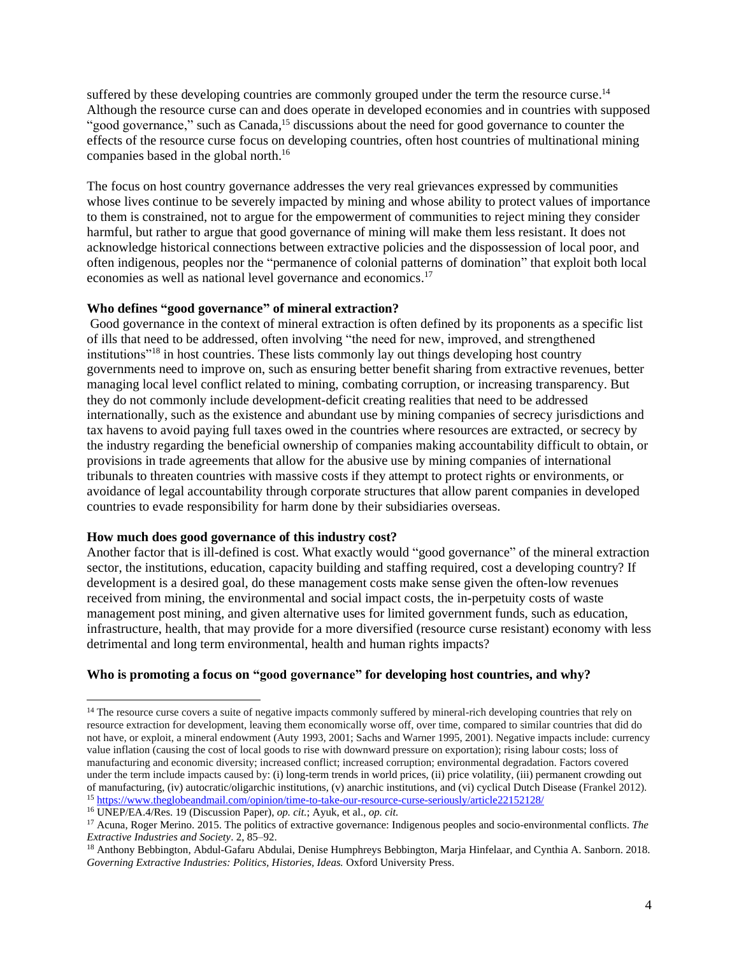suffered by these developing countries are commonly grouped under the term the resource curse.<sup>14</sup> Although the resource curse can and does operate in developed economies and in countries with supposed "good governance," such as Canada, $<sup>15</sup>$  discussions about the need for good governance to counter the</sup> effects of the resource curse focus on developing countries, often host countries of multinational mining companies based in the global north.<sup>16</sup>

The focus on host country governance addresses the very real grievances expressed by communities whose lives continue to be severely impacted by mining and whose ability to protect values of importance to them is constrained, not to argue for the empowerment of communities to reject mining they consider harmful, but rather to argue that good governance of mining will make them less resistant. It does not acknowledge historical connections between extractive policies and the dispossession of local poor, and often indigenous, peoples nor the "permanence of colonial patterns of domination" that exploit both local economies as well as national level governance and economics.<sup>17</sup>

#### **Who defines "good governance" of mineral extraction?**

Good governance in the context of mineral extraction is often defined by its proponents as a specific list of ills that need to be addressed, often involving "the need for new, improved, and strengthened institutions"<sup>18</sup> in host countries. These lists commonly lay out things developing host country governments need to improve on, such as ensuring better benefit sharing from extractive revenues, better managing local level conflict related to mining, combating corruption, or increasing transparency. But they do not commonly include development-deficit creating realities that need to be addressed internationally, such as the existence and abundant use by mining companies of secrecy jurisdictions and tax havens to avoid paying full taxes owed in the countries where resources are extracted, or secrecy by the industry regarding the beneficial ownership of companies making accountability difficult to obtain, or provisions in trade agreements that allow for the abusive use by mining companies of international tribunals to threaten countries with massive costs if they attempt to protect rights or environments, or avoidance of legal accountability through corporate structures that allow parent companies in developed countries to evade responsibility for harm done by their subsidiaries overseas.

#### **How much does good governance of this industry cost?**

Another factor that is ill-defined is cost. What exactly would "good governance" of the mineral extraction sector, the institutions, education, capacity building and staffing required, cost a developing country? If development is a desired goal, do these management costs make sense given the often-low revenues received from mining, the environmental and social impact costs, the in-perpetuity costs of waste management post mining, and given alternative uses for limited government funds, such as education, infrastructure, health, that may provide for a more diversified (resource curse resistant) economy with less detrimental and long term environmental, health and human rights impacts?

## **Who is promoting a focus on "good governance" for developing host countries, and why?**

<sup>&</sup>lt;sup>14</sup> The resource curse covers a suite of negative impacts commonly suffered by mineral-rich developing countries that rely on resource extraction for development, leaving them economically worse off, over time, compared to similar countries that did do not have, or exploit, a mineral endowment (Auty 1993, 2001; Sachs and Warner 1995, 2001). Negative impacts include: currency value inflation (causing the cost of local goods to rise with downward pressure on exportation); rising labour costs; loss of manufacturing and economic diversity; increased conflict; increased corruption; environmental degradation. Factors covered under the term include impacts caused by: (i) long-term trends in world prices, (ii) price volatility, (iii) permanent crowding out of manufacturing, (iv) autocratic/oligarchic institutions, (v) anarchic institutions, and (vi) cyclical Dutch Disease (Frankel 2012). <sup>15</sup> <https://www.theglobeandmail.com/opinion/time-to-take-our-resource-curse-seriously/article22152128/>

<sup>16</sup> UNEP/EA.4/Res. 19 (Discussion Paper), *op. cit.*; Ayuk, et al., *op. cit.*

<sup>17</sup> Acuna, Roger Merino. 2015. The politics of extractive governance: Indigenous peoples and socio-environmental conflicts. *The Extractive Industries and Society*. 2, 85–92.

<sup>18</sup> Anthony Bebbington, Abdul-Gafaru Abdulai, Denise Humphreys Bebbington, Marja Hinfelaar, and Cynthia A. Sanborn. 2018. Governing Extractive Industries: Politics, Histories, Ideas. Oxford University Press.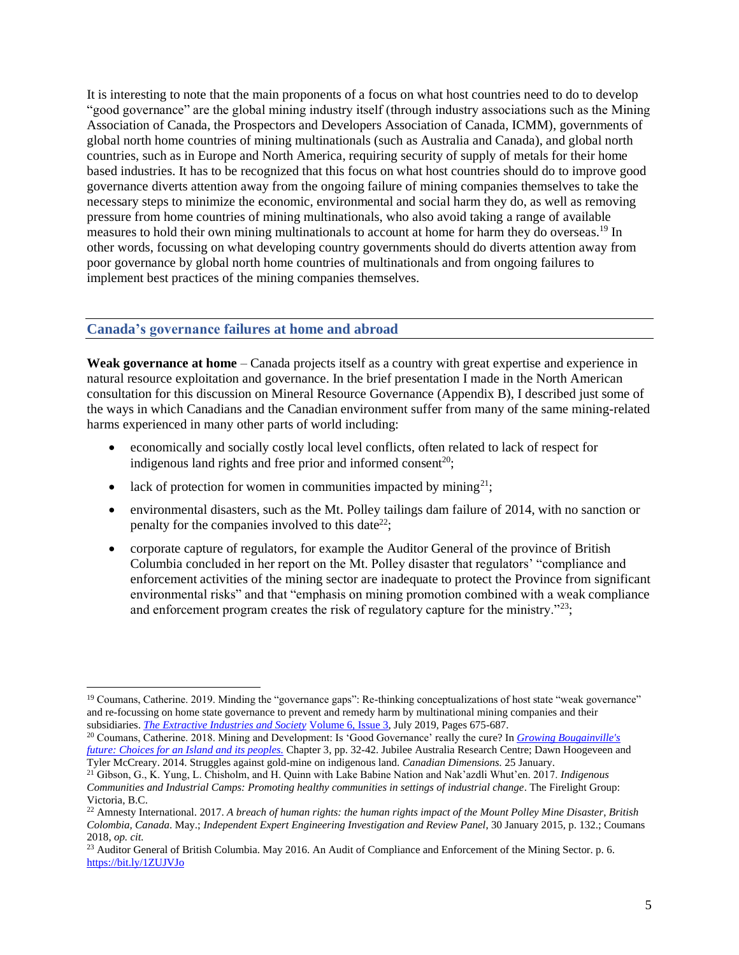It is interesting to note that the main proponents of a focus on what host countries need to do to develop "good governance" are the global mining industry itself (through industry associations such as the Mining Association of Canada, the Prospectors and Developers Association of Canada, ICMM), governments of global north home countries of mining multinationals (such as Australia and Canada), and global north countries, such as in Europe and North America, requiring security of supply of metals for their home based industries. It has to be recognized that this focus on what host countries should do to improve good governance diverts attention away from the ongoing failure of mining companies themselves to take the necessary steps to minimize the economic, environmental and social harm they do, as well as removing pressure from home countries of mining multinationals, who also avoid taking a range of available measures to hold their own mining multinationals to account at home for harm they do overseas.<sup>19</sup> In other words, focussing on what developing country governments should do diverts attention away from poor governance by global north home countries of multinationals and from ongoing failures to implement best practices of the mining companies themselves.

#### **Canada's governance failures at home and abroad**

**Weak governance at home** – Canada projects itself as a country with great expertise and experience in natural resource exploitation and governance. In the brief presentation I made in the North American consultation for this discussion on Mineral Resource Governance (Appendix B), I described just some of the ways in which Canadians and the Canadian environment suffer from many of the same mining-related harms experienced in many other parts of world including:

- economically and socially costly local level conflicts, often related to lack of respect for indigenous land rights and free prior and informed consent<sup>20</sup>;
- lack of protection for women in communities impacted by mining<sup>21</sup>:
- environmental disasters, such as the Mt. Polley tailings dam failure of 2014, with no sanction or penalty for the companies involved to this date<sup>22</sup>;
- corporate capture of regulators, for example the Auditor General of the province of British Columbia concluded in her report on the Mt. Polley disaster that regulators' "compliance and enforcement activities of the mining sector are inadequate to protect the Province from significant environmental risks" and that "emphasis on mining promotion combined with a weak compliance and enforcement program creates the risk of regulatory capture for the ministry."<sup>23</sup>;

<sup>20</sup> Coumans, Catherine. 2018. Mining and Development: Is 'Good Governance' really the cure? In *[Growing Bougainville's](https://miningwatch.ca/sites/default/files/growingbougainvillesfuture120918.pdf)  [future: Choices for an Island and its peoples.](https://miningwatch.ca/sites/default/files/growingbougainvillesfuture120918.pdf)* Chapter 3, pp. 32-42. Jubilee Australia Research Centre; Dawn Hoogeveen and Tyler McCreary. 2014. Struggles against gold-mine on indigenous land. *Canadian Dimensions.* 25 January.

<sup>&</sup>lt;sup>19</sup> Coumans, Catherine. 2019. Minding the "governance gaps": Re-thinking conceptualizations of host state "weak governance" and re-focussing on home state governance to prevent and remedy harm by multinational mining companies and their subsidiaries. *[The Extractive Industries and Society](https://www.sciencedirect.com/science/journal/2214790X)* [Volume 6, Issue 3,](https://www.sciencedirect.com/science/journal/2214790X/6/3) July 2019, Pages 675-687.

<sup>21</sup> Gibson, G., K. Yung, L. Chisholm, and H. Quinn with Lake Babine Nation and Nak'azdli Whut'en. 2017. *Indigenous Communities and Industrial Camps: Promoting healthy communities in settings of industrial change*. The Firelight Group: Victoria, B.C.

<sup>22</sup> Amnesty International. 2017. *A breach of human rights: the human rights impact of the Mount Polley Mine Disaster*, *British Colombia, Canada*. May.; *Independent Expert Engineering Investigation and Review Panel*, 30 January 2015, p. 132.; Coumans 2018, *op. cit.* 

<sup>&</sup>lt;sup>23</sup> Auditor General of British Columbia. May 2016. An Audit of Compliance and Enforcement of the Mining Sector. p. 6. <https://bit.ly/1ZUJVJo>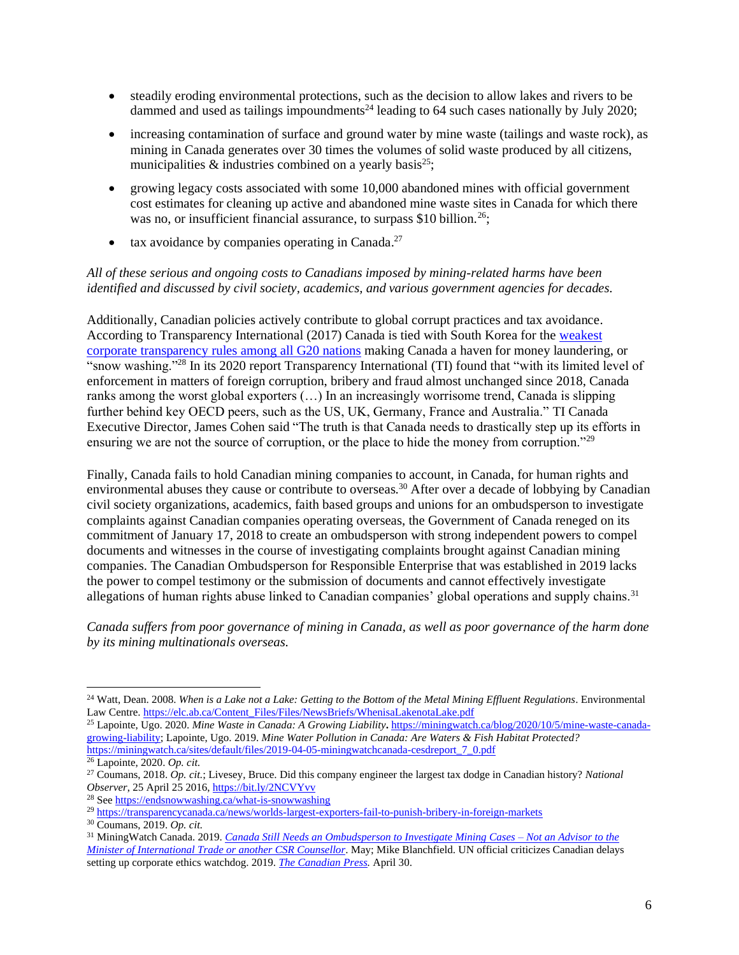- steadily eroding environmental protections, such as the decision to allow lakes and rivers to be dammed and used as tailings impoundments<sup>24</sup> leading to 64 such cases nationally by July 2020;
- increasing contamination of surface and ground water by mine waste (tailings and waste rock), as mining in Canada generates over 30 times the volumes of solid waste produced by all citizens, municipalities  $\&$  industries combined on a yearly basis<sup>25</sup>;
- growing legacy costs associated with some 10,000 abandoned mines with official government cost estimates for cleaning up active and abandoned mine waste sites in Canada for which there was no, or insufficient financial assurance, to surpass \$10 billion.<sup>26</sup>;
- $\bullet$  tax avoidance by companies operating in Canada.<sup>27</sup>

#### *All of these serious and ongoing costs to Canadians imposed by mining-related harms have been identified and discussed by civil society, academics, and various government agencies for decades.*

Additionally, Canadian policies actively contribute to global corrupt practices and tax avoidance. According to Transparency International (2017) Canada is tied with South Korea for the [weakest](https://www.transparency.org/news/feature/while_the_g20_drags_its_feet_the_corrupt_continue_to_benefit_from_anonymous)  [corporate transparency rules among all G20 nations](https://www.transparency.org/news/feature/while_the_g20_drags_its_feet_the_corrupt_continue_to_benefit_from_anonymous) making Canada a haven for money laundering, or "snow washing."<sup>28</sup> In its 2020 report Transparency International (TI) found that "with its limited level of enforcement in matters of foreign corruption, bribery and fraud almost unchanged since 2018, Canada ranks among the worst global exporters (…) In an increasingly worrisome trend, Canada is slipping further behind key OECD peers, such as the US, UK, Germany, France and Australia." TI Canada Executive Director, James Cohen said "The truth is that Canada needs to drastically step up its efforts in ensuring we are not the source of corruption, or the place to hide the money from corruption."<sup>29</sup>

Finally, Canada fails to hold Canadian mining companies to account, in Canada, for human rights and environmental abuses they cause or contribute to overseas.<sup>30</sup> After over a decade of lobbying by Canadian civil society organizations, academics, faith based groups and unions for an ombudsperson to investigate complaints against Canadian companies operating overseas, the Government of Canada reneged on its commitment of January 17, 2018 to create an ombudsperson with strong independent powers to compel documents and witnesses in the course of investigating complaints brought against Canadian mining companies. The Canadian Ombudsperson for Responsible Enterprise that was established in 2019 lacks the power to compel testimony or the submission of documents and cannot effectively investigate allegations of human rights abuse linked to Canadian companies' global operations and supply chains.<sup>31</sup>

*Canada suffers from poor governance of mining in Canada, as well as poor governance of the harm done by its mining multinationals overseas.*

<sup>&</sup>lt;sup>24</sup> Watt, Dean. 2008. When is a Lake not a Lake: Getting to the Bottom of the Metal Mining Effluent Regulations. Environmental Law Centre[. https://elc.ab.ca/Content\\_Files/Files/NewsBriefs/WhenisaLakenotaLake.pdf](https://elc.ab.ca/Content_Files/Files/NewsBriefs/WhenisaLakenotaLake.pdf)

<sup>25</sup> Lapointe, Ugo. 2020. *Mine Waste in Canada: A Growing Liability***.** [https://miningwatch.ca/blog/2020/10/5/mine-waste-canada](https://miningwatch.ca/blog/2020/10/5/mine-waste-canada-growing-liability)[growing-liability;](https://miningwatch.ca/blog/2020/10/5/mine-waste-canada-growing-liability) Lapointe, Ugo. 2019. *Mine Water Pollution in Canada: Are Waters & Fish Habitat Protected?* [https://miningwatch.ca/sites/default/files/2019-04-05-miningwatchcanada-cesdreport\\_7\\_0.pdf](https://miningwatch.ca/sites/default/files/2019-04-05-miningwatchcanada-cesdreport_7_0.pdf)

<sup>26</sup> Lapointe, 2020. *Op. cit.*

<sup>27</sup> Coumans, 2018. *Op. cit.*; Livesey, Bruce. Did this company engineer the largest tax dodge in Canadian history? *National Observer*, 25 April 25 2016[, https://bit.ly/2NCVYvv](https://bit.ly/2NCVYvv)

<sup>28</sup> Se[e https://endsnowwashing.ca/what-is-snowwashing](https://endsnowwashing.ca/what-is-snowwashing)

<sup>29</sup> <https://transparencycanada.ca/news/worlds-largest-exporters-fail-to-punish-bribery-in-foreign-markets>

<sup>30</sup> Coumans, 2019. *Op. cit.*

<sup>31</sup> MiningWatch Canada. 2019. *[Canada Still Needs an Ombudsperson to Investigate Mining Cases –](https://miningwatch.ca/sites/default/files/canadastillneedsanombudsperson2019.pdf) Not an Advisor to the [Minister of International Trade or another CSR Counsellor](https://miningwatch.ca/sites/default/files/canadastillneedsanombudsperson2019.pdf)*. May; Mike Blanchfield. UN official criticizes Canadian delays setting up corporate ethics watchdog. 2019. *[The Canadian Press.](https://www.cbc.ca/news/politics/un-watchdog-carr-corporate-ethics-1.5116399)* April 30.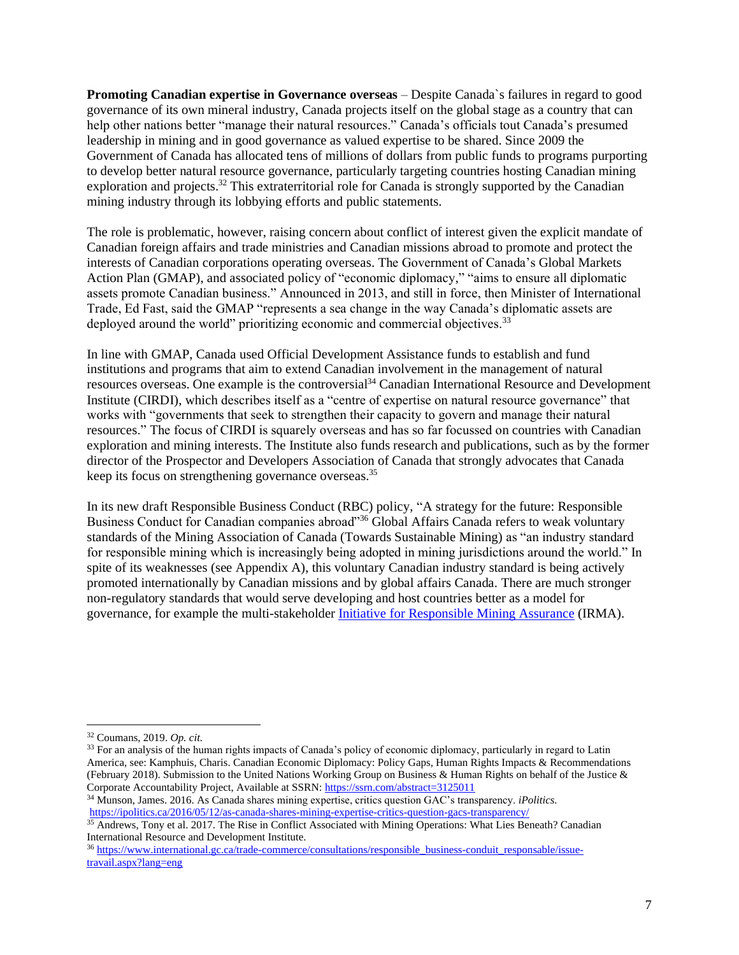**Promoting Canadian expertise in Governance overseas** – Despite Canada`s failures in regard to good governance of its own mineral industry, Canada projects itself on the global stage as a country that can help other nations better "manage their natural resources." Canada's officials tout Canada's presumed leadership in mining and in good governance as valued expertise to be shared. Since 2009 the Government of Canada has allocated tens of millions of dollars from public funds to programs purporting to develop better natural resource governance, particularly targeting countries hosting Canadian mining exploration and projects.<sup>32</sup> This extraterritorial role for Canada is strongly supported by the Canadian mining industry through its lobbying efforts and public statements.

The role is problematic, however, raising concern about conflict of interest given the explicit mandate of Canadian foreign affairs and trade ministries and Canadian missions abroad to promote and protect the interests of Canadian corporations operating overseas. The Government of Canada's Global Markets Action Plan (GMAP), and associated policy of "economic diplomacy," "aims to ensure all diplomatic assets promote Canadian business." Announced in 2013, and still in force, then Minister of International Trade, Ed Fast, said the GMAP "represents a sea change in the way Canada's diplomatic assets are deployed around the world" prioritizing economic and commercial objectives.<sup>33</sup>

In line with GMAP, Canada used Official Development Assistance funds to establish and fund institutions and programs that aim to extend Canadian involvement in the management of natural resources overseas. One example is the controversial<sup>34</sup> Canadian International Resource and Development Institute (CIRDI), which describes itself as a "centre of expertise on natural resource governance" that works with "governments that seek to strengthen their capacity to govern and manage their natural resources." The focus of CIRDI is squarely overseas and has so far focussed on countries with Canadian exploration and mining interests. The Institute also funds research and publications, such as by the former director of the Prospector and Developers Association of Canada that strongly advocates that Canada keep its focus on strengthening governance overseas.<sup>35</sup>

In its new draft Responsible Business Conduct (RBC) policy, "A strategy for the future: Responsible Business Conduct for Canadian companies abroad"<sup>36</sup> Global Affairs Canada refers to weak voluntary standards of the Mining Association of Canada (Towards Sustainable Mining) as "an industry standard for responsible mining which is increasingly being adopted in mining jurisdictions around the world." In spite of its weaknesses (see Appendix A), this voluntary Canadian industry standard is being actively promoted internationally by Canadian missions and by global affairs Canada. There are much stronger non-regulatory standards that would serve developing and host countries better as a model for governance, for example the multi-stakeholder [Initiative for Responsible Mining Assurance](https://responsiblemining.net/what-we-do/standard/) (IRMA).

<sup>32</sup> Coumans, 2019. *Op. cit.*

<sup>&</sup>lt;sup>33</sup> For an analysis of the human rights impacts of Canada's policy of economic diplomacy, particularly in regard to Latin America, see: Kamphuis, Charis. Canadian Economic Diplomacy: Policy Gaps, Human Rights Impacts & Recommendations (February 2018). Submission to the United Nations Working Group on Business & Human Rights on behalf of the Justice & Corporate Accountability Project, Available at SSRN: <https://ssrn.com/abstract=3125011>

<sup>34</sup> Munson, James. 2016. As Canada shares mining expertise, critics question GAC's transparency. *iPolitics.*  <https://ipolitics.ca/2016/05/12/as-canada-shares-mining-expertise-critics-question-gacs-transparency/>

<sup>&</sup>lt;sup>35</sup> Andrews, Tony et al. 2017. The Rise in Conflict Associated with Mining Operations: What Lies Beneath? Canadian International Resource and Development Institute.

<sup>36</sup> [https://www.international.gc.ca/trade-commerce/consultations/responsible\\_business-conduit\\_responsable/issue](https://www.international.gc.ca/trade-commerce/consultations/responsible_business-conduit_responsable/issue-travail.aspx?lang=eng)[travail.aspx?lang=eng](https://www.international.gc.ca/trade-commerce/consultations/responsible_business-conduit_responsable/issue-travail.aspx?lang=eng)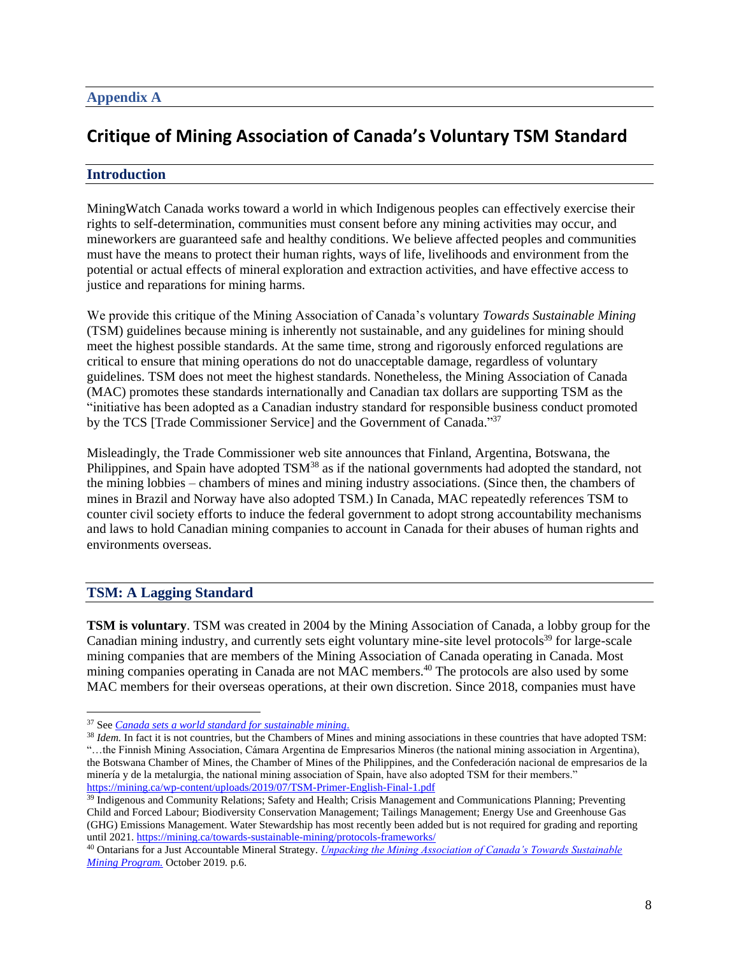# **Critique of Mining Association of Canada's Voluntary TSM Standard**

## **Introduction**

MiningWatch Canada works toward a world in which Indigenous peoples can effectively exercise their rights to self-determination, communities must consent before any mining activities may occur, and mineworkers are guaranteed safe and healthy conditions. We believe affected peoples and communities must have the means to protect their human rights, ways of life, livelihoods and environment from the potential or actual effects of mineral exploration and extraction activities, and have effective access to justice and reparations for mining harms.

We provide this critique of the Mining Association of Canada's voluntary *Towards Sustainable Mining* (TSM) guidelines because mining is inherently not sustainable, and any guidelines for mining should meet the highest possible standards. At the same time, strong and rigorously enforced regulations are critical to ensure that mining operations do not do unacceptable damage, regardless of voluntary guidelines. TSM does not meet the highest standards. Nonetheless, the Mining Association of Canada (MAC) promotes these standards internationally and Canadian tax dollars are supporting TSM as the "initiative has been adopted as a Canadian industry standard for responsible business conduct promoted by the TCS [Trade Commissioner Service] and the Government of Canada."<sup>37</sup>

Misleadingly, the Trade Commissioner web site announces that Finland, Argentina, Botswana, the Philippines, and Spain have adopted TSM<sup>38</sup> as if the national governments had adopted the standard, not the mining lobbies – chambers of mines and mining industry associations. (Since then, the chambers of mines in Brazil and Norway have also adopted TSM.) In Canada, MAC repeatedly references TSM to counter civil society efforts to induce the federal government to adopt strong accountability mechanisms and laws to hold Canadian mining companies to account in Canada for their abuses of human rights and environments overseas.

## **TSM: A Lagging Standard**

**TSM is voluntary**. TSM was created in 2004 by the Mining Association of Canada, a lobby group for the Canadian mining industry, and currently sets eight voluntary mine-site level protocols<sup>39</sup> for large-scale mining companies that are members of the Mining Association of Canada operating in Canada. Most mining companies operating in Canada are not MAC members.<sup>40</sup> The protocols are also used by some MAC members for their overseas operations, at their own discretion. Since 2018, companies must have

<sup>37</sup> See *[Canada sets a world standard for sustainable mining](https://www.tradecommissioner.gc.ca/canadexport/0003604.aspx?lang=eng)*[.](https://www.tradecommissioner.gc.ca/canadexport/0003604.aspx?lang=eng)

<sup>&</sup>lt;sup>38</sup> *Idem*. In fact it is not countries, but the Chambers of Mines and mining associations in these countries that have adopted TSM: "…the Finnish Mining Association, Cámara Argentina de Empresarios Mineros (the national mining association in Argentina), the Botswana Chamber of Mines, the Chamber of Mines of the Philippines, and the Confederación nacional de empresarios de la minería y de la metalurgia, the national mining association of Spain, have also adopted TSM for their members." <https://mining.ca/wp-content/uploads/2019/07/TSM-Primer-English-Final-1.pdf>

<sup>&</sup>lt;sup>39</sup> Indigenous and Community Relations; Safety and Health; Crisis Management and Communications Planning; Preventing Child and Forced Labour; Biodiversity Conservation Management; Tailings Management; Energy Use and Greenhouse Gas (GHG) Emissions Management. Water Stewardship has most recently been added but is not required for grading and reporting until 2021[. https://mining.ca/towards-sustainable-mining/protocols-frameworks/](https://mining.ca/towards-sustainable-mining/protocols-frameworks/)

<sup>40</sup> Ontarians for a Just Accountable Mineral Strategy. *[Unpacking the Mining Association of Canada's Towards Sustainable](http://www.ojams.ca/uncategorized/unpacking-the-mining-association-of-canadas-towards-sustainable-mining-program/)  [Mining Program.](http://www.ojams.ca/uncategorized/unpacking-the-mining-association-of-canadas-towards-sustainable-mining-program/)* October 2019*.* p.6.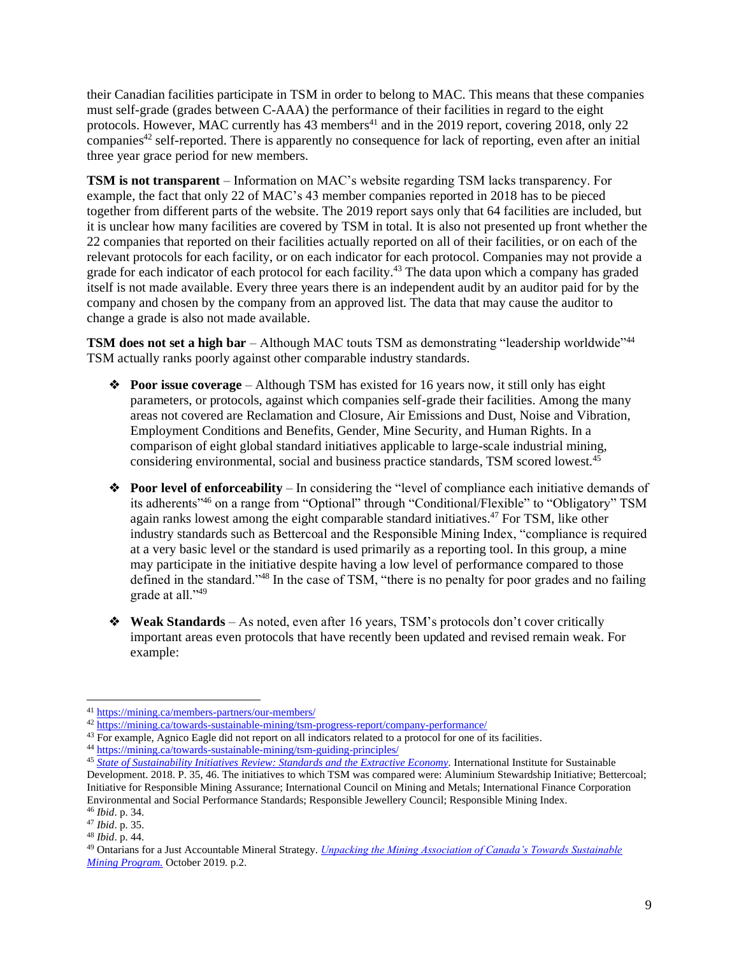their Canadian facilities participate in TSM in order to belong to MAC. This means that these companies must self-grade (grades between C-AAA) the performance of their facilities in regard to the eight protocols. However, MAC currently has  $43$  members<sup> $41$ </sup> and in the 2019 report, covering 2018, only 22  $companies<sup>42</sup> self-reported. There is apparently no consequence for lack of reporting, even after an initial$ three year grace period for new members.

**TSM is not transparent** – Information on MAC's website regarding TSM lacks transparency. For example, the fact that only 22 of MAC's 43 member companies reported in 2018 has to be pieced together from different parts of the website. The 2019 report says only that 64 facilities are included, but it is unclear how many facilities are covered by TSM in total. It is also not presented up front whether the 22 companies that reported on their facilities actually reported on all of their facilities, or on each of the relevant protocols for each facility, or on each indicator for each protocol. Companies may not provide a grade for each indicator of each protocol for each facility.<sup>43</sup> The data upon which a company has graded itself is not made available. Every three years there is an independent audit by an auditor paid for by the company and chosen by the company from an approved list. The data that may cause the auditor to change a grade is also not made available.

**TSM does not set a high bar** – Although MAC touts TSM as demonstrating "leadership worldwide"<sup>44</sup> TSM actually ranks poorly against other comparable industry standards.

- ❖ **Poor issue coverage** Although TSM has existed for 16 years now, it still only has eight parameters, or protocols, against which companies self-grade their facilities. Among the many areas not covered are Reclamation and Closure, Air Emissions and Dust, Noise and Vibration, Employment Conditions and Benefits, Gender, Mine Security, and Human Rights. In a comparison of eight global standard initiatives applicable to large-scale industrial mining, considering environmental, social and business practice standards, TSM scored lowest. $45$
- ❖ **Poor level of enforceability** In considering the "level of compliance each initiative demands of its adherents<sup>,46</sup> on a range from "Optional" through "Conditional/Flexible" to "Obligatory" TSM again ranks lowest among the eight comparable standard initiatives.<sup>47</sup> For TSM, like other industry standards such as Bettercoal and the Responsible Mining Index, "compliance is required at a very basic level or the standard is used primarily as a reporting tool. In this group, a mine may participate in the initiative despite having a low level of performance compared to those defined in the standard."<sup>48</sup> In the case of TSM, "there is no penalty for poor grades and no failing grade at all."<sup>49</sup>
- ❖ **Weak Standards**  As noted, even after 16 years, TSM's protocols don't cover critically important areas even protocols that have recently been updated and revised remain weak. For example:

<sup>41</sup> <https://mining.ca/members-partners/our-members/>

<sup>42</sup> <https://mining.ca/towards-sustainable-mining/tsm-progress-report/company-performance/>

<sup>&</sup>lt;sup>43</sup> For example, Agnico Eagle did not report on all indicators related to a protocol for one of its facilities.

<sup>44</sup> <https://mining.ca/towards-sustainable-mining/tsm-guiding-principles/>

<sup>&</sup>lt;sup>45</sup> [State of Sustainability Initiatives Review: Standards and the Extractive Economy.](https://www.iisd.org/sites/default/files/publications/igf-ssi-review-extractive-economy.pdf) International Institute for Sustainable Development. 2018. P. 35, 46. The initiatives to which TSM was compared were: Aluminium Stewardship Initiative; Bettercoal; Initiative for Responsible Mining Assurance; International Council on Mining and Metals; International Finance Corporation Environmental and Social Performance Standards; Responsible Jewellery Council; Responsible Mining Index. <sup>46</sup> *Ibid*. p. 34.

<sup>47</sup> *Ibid*. p. 35.

<sup>48</sup> *Ibid*. p. 44.

<sup>49</sup> Ontarians for a Just Accountable Mineral Strategy. *[Unpacking the Mining Association of Canada's Towards Sustainable](http://www.ojams.ca/uncategorized/unpacking-the-mining-association-of-canadas-towards-sustainable-mining-program/)  [Mining Program.](http://www.ojams.ca/uncategorized/unpacking-the-mining-association-of-canadas-towards-sustainable-mining-program/)* October 2019*.* p.2.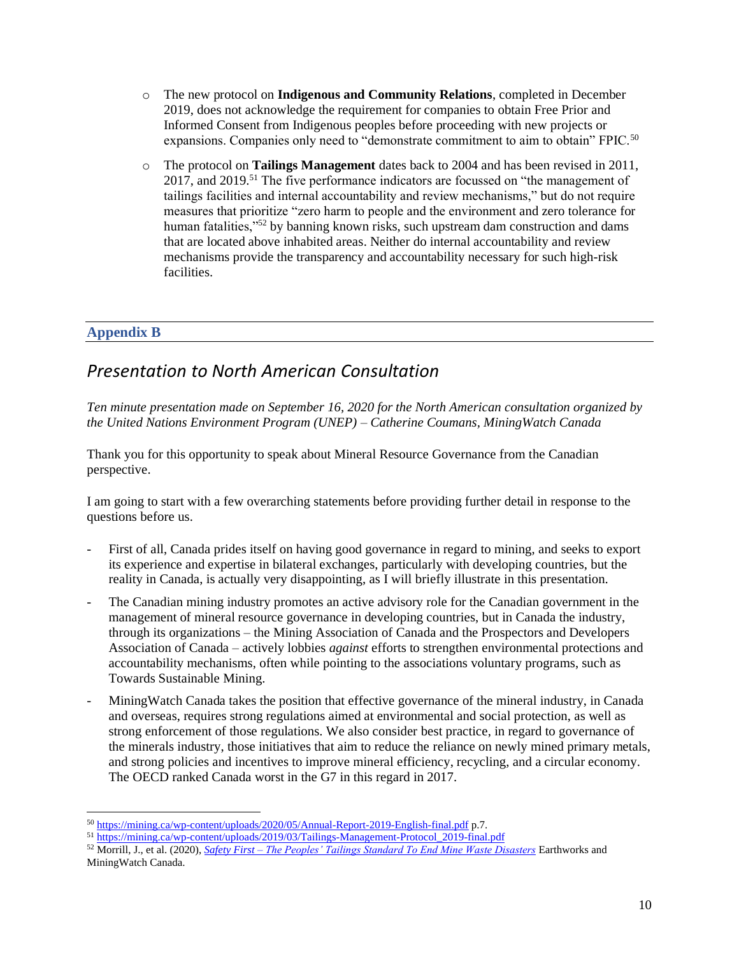- o The new protocol on **Indigenous and Community Relations**, completed in December 2019, does not acknowledge the requirement for companies to obtain Free Prior and Informed Consent from Indigenous peoples before proceeding with new projects or expansions. Companies only need to "demonstrate commitment to aim to obtain" FPIC.<sup>50</sup>
- o The protocol on **Tailings Management** dates back to 2004 and has been revised in 2011, 2017, and 2019.<sup>51</sup> The five performance indicators are focussed on "the management of tailings facilities and internal accountability and review mechanisms," but do not require measures that prioritize "zero harm to people and the environment and zero tolerance for human fatalities,"<sup>52</sup> by banning known risks, such upstream dam construction and dams that are located above inhabited areas. Neither do internal accountability and review mechanisms provide the transparency and accountability necessary for such high-risk facilities.

## **Appendix B**

# *Presentation to North American Consultation*

*Ten minute presentation made on September 16, 2020 for the North American consultation organized by the United Nations Environment Program (UNEP) – Catherine Coumans, MiningWatch Canada*

Thank you for this opportunity to speak about Mineral Resource Governance from the Canadian perspective.

I am going to start with a few overarching statements before providing further detail in response to the questions before us.

- First of all, Canada prides itself on having good governance in regard to mining, and seeks to export its experience and expertise in bilateral exchanges, particularly with developing countries, but the reality in Canada, is actually very disappointing, as I will briefly illustrate in this presentation.
- The Canadian mining industry promotes an active advisory role for the Canadian government in the management of mineral resource governance in developing countries, but in Canada the industry, through its organizations – the Mining Association of Canada and the Prospectors and Developers Association of Canada – actively lobbies *against* efforts to strengthen environmental protections and accountability mechanisms, often while pointing to the associations voluntary programs, such as Towards Sustainable Mining.
- MiningWatch Canada takes the position that effective governance of the mineral industry, in Canada and overseas, requires strong regulations aimed at environmental and social protection, as well as strong enforcement of those regulations. We also consider best practice, in regard to governance of the minerals industry, those initiatives that aim to reduce the reliance on newly mined primary metals, and strong policies and incentives to improve mineral efficiency, recycling, and a circular economy. The OECD ranked Canada worst in the G7 in this regard in 2017.

<sup>50</sup> <https://mining.ca/wp-content/uploads/2020/05/Annual-Report-2019-English-final.pdf> p.7.

<sup>51</sup> [https://mining.ca/wp-content/uploads/2019/03/Tailings-Management-Protocol\\_2019-final.pdf](https://mining.ca/wp-content/uploads/2019/03/Tailings-Management-Protocol_2019-final.pdf)

<sup>52</sup> Morrill, J., et al. (2020), *Safety First – [The Peoples' Tailings Standard To End Mine Waste Disasters](https://miningwatch.ca/sites/default/files/safetyfirst-mainreporten-final.pdf)* Earthworks and MiningWatch Canada.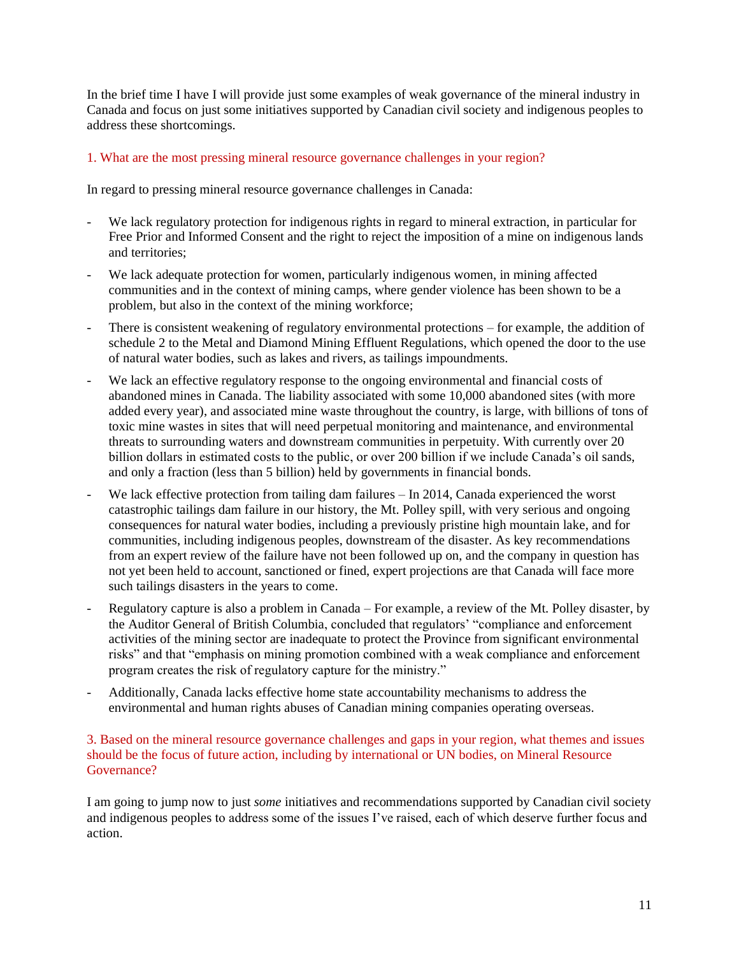In the brief time I have I will provide just some examples of weak governance of the mineral industry in Canada and focus on just some initiatives supported by Canadian civil society and indigenous peoples to address these shortcomings.

#### 1. What are the most pressing mineral resource governance challenges in your region?

In regard to pressing mineral resource governance challenges in Canada:

- We lack regulatory protection for indigenous rights in regard to mineral extraction, in particular for Free Prior and Informed Consent and the right to reject the imposition of a mine on indigenous lands and territories;
- We lack adequate protection for women, particularly indigenous women, in mining affected communities and in the context of mining camps, where gender violence has been shown to be a problem, but also in the context of the mining workforce;
- There is consistent weakening of regulatory environmental protections for example, the addition of schedule 2 to the Metal and Diamond Mining Effluent Regulations, which opened the door to the use of natural water bodies, such as lakes and rivers, as tailings impoundments.
- We lack an effective regulatory response to the ongoing environmental and financial costs of abandoned mines in Canada. The liability associated with some 10,000 abandoned sites (with more added every year), and associated mine waste throughout the country, is large, with billions of tons of toxic mine wastes in sites that will need perpetual monitoring and maintenance, and environmental threats to surrounding waters and downstream communities in perpetuity. With currently over 20 billion dollars in estimated costs to the public, or over 200 billion if we include Canada's oil sands, and only a fraction (less than 5 billion) held by governments in financial bonds.
- We lack effective protection from tailing dam failures  $-$  In 2014, Canada experienced the worst catastrophic tailings dam failure in our history, the Mt. Polley spill, with very serious and ongoing consequences for natural water bodies, including a previously pristine high mountain lake, and for communities, including indigenous peoples, downstream of the disaster. As key recommendations from an expert review of the failure have not been followed up on, and the company in question has not yet been held to account, sanctioned or fined, expert projections are that Canada will face more such tailings disasters in the years to come.
- Regulatory capture is also a problem in Canada For example, a review of the Mt. Polley disaster, by the Auditor General of British Columbia, concluded that regulators' "compliance and enforcement activities of the mining sector are inadequate to protect the Province from significant environmental risks" and that "emphasis on mining promotion combined with a weak compliance and enforcement program creates the risk of regulatory capture for the ministry."
- Additionally, Canada lacks effective home state accountability mechanisms to address the environmental and human rights abuses of Canadian mining companies operating overseas.

#### 3. Based on the mineral resource governance challenges and gaps in your region, what themes and issues should be the focus of future action, including by international or UN bodies, on Mineral Resource Governance?

I am going to jump now to just *some* initiatives and recommendations supported by Canadian civil society and indigenous peoples to address some of the issues I've raised, each of which deserve further focus and action.